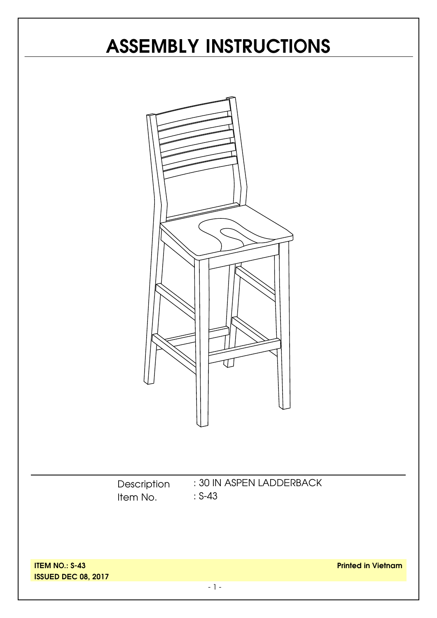# **ASSEMBLY INSTRUCTIONS**



**Description** Item No. : 30 IN ASPEN LADDERBACK : S-43

**ITEM NO.: S-43 ISSUED DEC 08, 2017**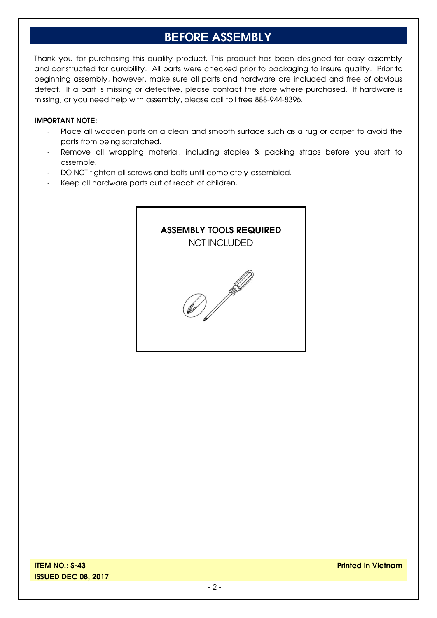### **BEFORE ASSEMBLY**

Thank you for purchasing this quality product. This product has been designed for easy assembly and constructed for durability. All parts were checked prior to packaging to insure quality. Prior to beginning assembly, however, make sure all parts and hardware are included and free of obvious defect. If a part is missing or defective, please contact the store where purchased. If hardware is missing, or you need help with assembly, please call toll free 888-944-8396.

#### **IMPORTANT NOTE:**

- Place all wooden parts on a clean and smooth surface such as a rug or carpet to avoid the parts from being scratched.
- Remove all wrapping material, including staples & packing straps before you start to assemble.
- DO NOT tighten all screws and bolts until completely assembled.
- Keep all hardware parts out of reach of children.

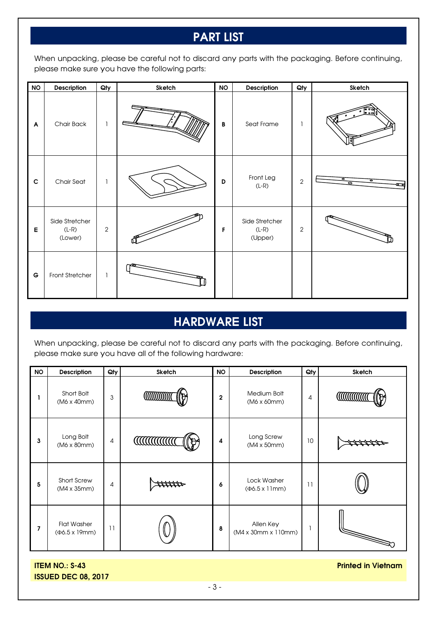### **PART LIST**

When unpacking, please be careful not to discard any parts with the packaging. Before continuing, please make sure you have the following parts:

| NO          | Description                          | Qty            | Sketch | <b>NO</b>    | Description                          | Qty            | Sketch                 |
|-------------|--------------------------------------|----------------|--------|--------------|--------------------------------------|----------------|------------------------|
| A           | Chair Back                           | 1              |        | $\, {\bf B}$ | Seat Frame                           |                | <u>ra</u><br>$\bullet$ |
| $\mathbf c$ | Chair Seat                           | 1              |        | D            | Front Leg<br>$(L-R)$                 | $\overline{2}$ | ៑<br>៑<br>0            |
| $\mathsf E$ | Side Stretcher<br>$(L-R)$<br>(Lower) | $\overline{2}$ |        | F            | Side Stretcher<br>$(L-R)$<br>(Upper) | $\overline{2}$ |                        |
| $\mathsf G$ | Front Stretcher                      | $\mathbf{1}$   |        |              |                                      |                |                        |

## **HARDWARE LIST**

When unpacking, please be careful not to discard any parts with the packaging. Before continuing, please make sure you have all of the following hardware:

| <b>NO</b> | <b>Description</b>                          | Qty | <b>Sketch</b>    | <b>NO</b>      | Description                                 | Qty | Sketch |
|-----------|---------------------------------------------|-----|------------------|----------------|---------------------------------------------|-----|--------|
|           | Short Bolt<br>(M6 x 40mm)                   | 3   | <b>MINIMAL</b>   | $\overline{2}$ | Medium Bolt<br>$(M6 \times 60 \text{mm})$   | 4   | WWW    |
| 3         | Long Bolt<br>(M6 x 80mm)                    | 4   | <b>CONTINUES</b> | 4              | Long Screw<br>(M4 x 50mm)                   | 10  |        |
| 5         | <b>Short Screw</b><br>(M4 x 35mm)           | 4   |                  | 6              | Lock Washer<br>$(\Phi6.5 \times 11)$ mm)    | 11  |        |
| 7         | <b>Flat Washer</b><br>$(46.5 \times 19$ mm) | 11  |                  | 8              | Allen Key<br>$(M4 \times 30$ mm x 110mm $)$ |     |        |

**ITEM NO.: S-43 ISSUED DEC 08, 2017** **Printed in Vietnam**

- 3 -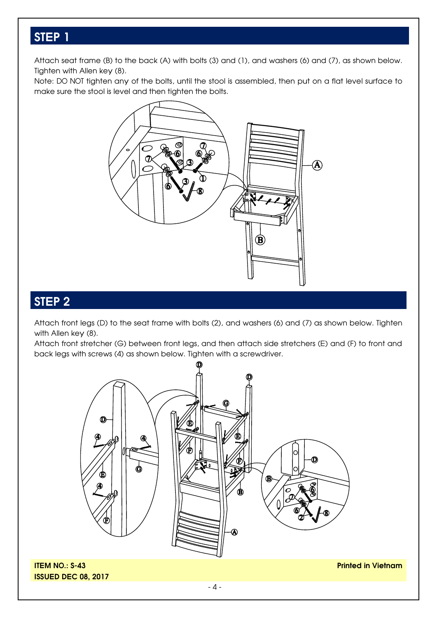#### **STEP 1**

Attach seat frame (B) to the back (A) with bolts (3) and (1), and washers (6) and (7), as shown below. Tighten with Allen key (8).

Note: DO NOT tighten any of the bolts, until the stool is assembled, then put on a flat level surface to make sure the stool is level and then tighten the bolts.



#### **STEP 2**

Attach front legs (D) to the seat frame with bolts (2), and washers (6) and (7) as shown below. Tighten with Allen key (8).

Attach front stretcher (G) between front legs, and then attach side stretchers (E) and (F) to front and back legs with screws (4) as shown below. Tighten with a screwdriver.